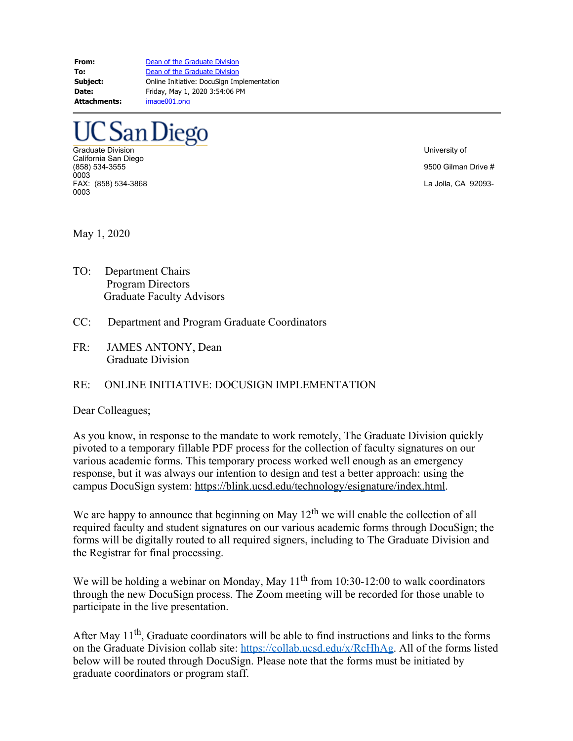**From:** [Dean of the Graduate Division](mailto:graduatedean@ucsd.edu) **To:** [Dean of the Graduate Division](mailto:graduatedean@ucsd.edu) **Subject:** Online Initiative: DocuSign Implementation **Date:** Friday, May 1, 2020 3:54:06 PM **Attachments:** image001.png

## San Diego

Graduate Division University of California San Diego<br>(858) 534-3555 0003 FAX: (858) 534-3868 La Jolla, CA 92093- 0003

9500 Gilman Drive #

May 1, 2020

- TO: Department Chairs Program Directors Graduate Faculty Advisors
- CC: Department and Program Graduate Coordinators
- FR: JAMES ANTONY, Dean Graduate Division

## RE: ONLINE INITIATIVE: DOCUSIGN IMPLEMENTATION

## Dear Colleagues;

As you know, in response to the mandate to work remotely, The Graduate Division quickly pivoted to a temporary fillable PDF process for the collection of faculty signatures on our various academic forms. This temporary process worked well enough as an emergency response, but it was always our intention to design and test a better approach: using the campus DocuSign system: <https://blink.ucsd.edu/technology/esignature/index.html>.

We are happy to announce that beginning on May  $12<sup>th</sup>$  we will enable the collection of all required faculty and student signatures on our various academic forms through DocuSign; the forms will be digitally routed to all required signers, including to The Graduate Division and the Registrar for final processing.

We will be holding a webinar on Monday, May  $11<sup>th</sup>$  from 10:30-12:00 to walk coordinators through the new DocuSign process. The Zoom meeting will be recorded for those unable to participate in the live presentation.

After May 11<sup>th</sup>, Graduate coordinators will be able to find instructions and links to the forms on the Graduate Division collab site:<https://collab.ucsd.edu/x/RcHhAg>. All of the forms listed below will be routed through DocuSign. Please note that the forms must be initiated by graduate coordinators or program staff.